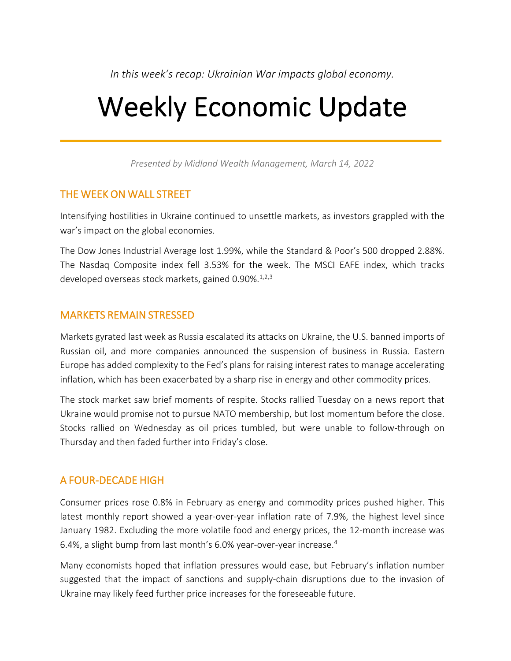*In this week's recap: Ukrainian War impacts global economy.*

# Weekly Economic Update

*Presented by Midland Wealth Management, March 14, 2022*

#### THE WEEK ON WALL STREET

Intensifying hostilities in Ukraine continued to unsettle markets, as investors grappled with the war's impact on the global economies.

The Dow Jones Industrial Average lost 1.99%, while the Standard & Poor's 500 dropped 2.88%. The Nasdaq Composite index fell 3.53% for the week. The MSCI EAFE index, which tracks developed overseas stock markets, gained 0.90%.<sup>1,2,3</sup>

#### MARKETS REMAIN STRESSED

Markets gyrated last week as Russia escalated its attacks on Ukraine, the U.S. banned imports of Russian oil, and more companies announced the suspension of business in Russia. Eastern Europe has added complexity to the Fed's plans for raising interest rates to manage accelerating inflation, which has been exacerbated by a sharp rise in energy and other commodity prices.

The stock market saw brief moments of respite. Stocks rallied Tuesday on a news report that Ukraine would promise not to pursue NATO membership, but lost momentum before the close. Stocks rallied on Wednesday as oil prices tumbled, but were unable to follow-through on Thursday and then faded further into Friday's close.

# A FOUR-DECADE HIGH

Consumer prices rose 0.8% in February as energy and commodity prices pushed higher. This latest monthly report showed a year-over-year inflation rate of 7.9%, the highest level since January 1982. Excluding the more volatile food and energy prices, the 12-month increase was 6.4%, a slight bump from last month's 6.0% year-over-year increase.4

Many economists hoped that inflation pressures would ease, but February's inflation number suggested that the impact of sanctions and supply-chain disruptions due to the invasion of Ukraine may likely feed further price increases for the foreseeable future.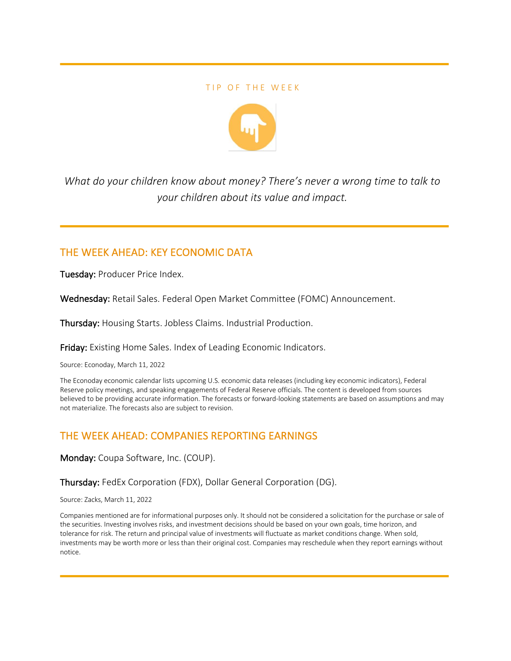#### TIP OF THE WEEK



*What do your children know about money? There's never a wrong time to talk to your children about its value and impact.*

### THE WEEK AHEAD: KEY ECONOMIC DATA

Tuesday: Producer Price Index.

Wednesday: Retail Sales. Federal Open Market Committee (FOMC) Announcement.

Thursday: Housing Starts. Jobless Claims. Industrial Production.

Friday: Existing Home Sales. Index of Leading Economic Indicators.

Source: Econoday, March 11, 2022

The Econoday economic calendar lists upcoming U.S. economic data releases (including key economic indicators), Federal Reserve policy meetings, and speaking engagements of Federal Reserve officials. The content is developed from sources believed to be providing accurate information. The forecasts or forward-looking statements are based on assumptions and may not materialize. The forecasts also are subject to revision.

# THE WEEK AHEAD: COMPANIES REPORTING EARNINGS

Monday: Coupa Software, Inc. (COUP).

Thursday: FedEx Corporation (FDX), Dollar General Corporation (DG).

Source: Zacks, March 11, 2022

Companies mentioned are for informational purposes only. It should not be considered a solicitation for the purchase or sale of the securities. Investing involves risks, and investment decisions should be based on your own goals, time horizon, and tolerance for risk. The return and principal value of investments will fluctuate as market conditions change. When sold, investments may be worth more or less than their original cost. Companies may reschedule when they report earnings without notice.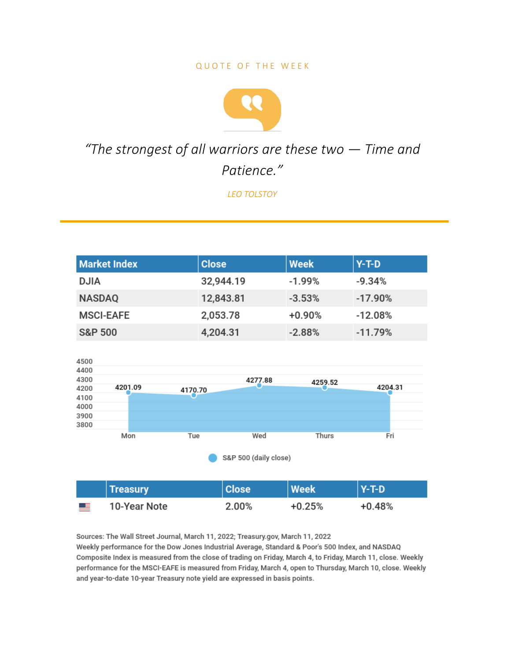#### QUOTE OF THE WEEK



# "The strongest of all warriors are these two  $-$  Time and Patience."

**LEO TOLSTOY** 

| <b>Market Index</b> | <b>Close</b> |         | <b>Week</b> | $Y-T-D$   |  |  |  |  |
|---------------------|--------------|---------|-------------|-----------|--|--|--|--|
| <b>DJIA</b>         | 32,944.19    |         | $-1.99%$    | $-9.34%$  |  |  |  |  |
| <b>NASDAQ</b>       | 12,843.81    |         | $-3.53%$    | $-17.90%$ |  |  |  |  |
| <b>MSCI-EAFE</b>    | 2,053.78     |         | $+0.90%$    | $-12.08%$ |  |  |  |  |
| <b>S&amp;P 500</b>  | 4,204.31     |         | $-2.88%$    | $-11.79%$ |  |  |  |  |
|                     |              |         |             |           |  |  |  |  |
| 4500                |              |         |             |           |  |  |  |  |
| 4400                |              |         |             |           |  |  |  |  |
| 4300                |              | 4277.88 | 4259.52     |           |  |  |  |  |
| 4201.09<br>4200     | 4170.70      |         |             | 4204.31   |  |  |  |  |
| 4100                |              |         |             |           |  |  |  |  |
| 4000                |              |         |             |           |  |  |  |  |
| 3900                |              |         |             |           |  |  |  |  |
| 3800                |              |         |             |           |  |  |  |  |
| Mon                 | Tue          | Wed     | Thurs       | Fri       |  |  |  |  |
|                     |              |         |             |           |  |  |  |  |

S&P 500 (daily close)

|           | <b>Treasury</b> | <b>Close</b> | <b>Week</b> | $Y-T-D$  |
|-----------|-----------------|--------------|-------------|----------|
| <u>ma</u> | 10-Year Note    | 2.00%        | $+0.25%$    | $+0.48%$ |

Sources: The Wall Street Journal, March 11, 2022; Treasury.gov, March 11, 2022 Weekly performance for the Dow Jones Industrial Average, Standard & Poor's 500 Index, and NASDAQ Composite Index is measured from the close of trading on Friday, March 4, to Friday, March 11, close. Weekly performance for the MSCI-EAFE is measured from Friday, March 4, open to Thursday, March 10, close. Weekly and year-to-date 10-year Treasury note yield are expressed in basis points.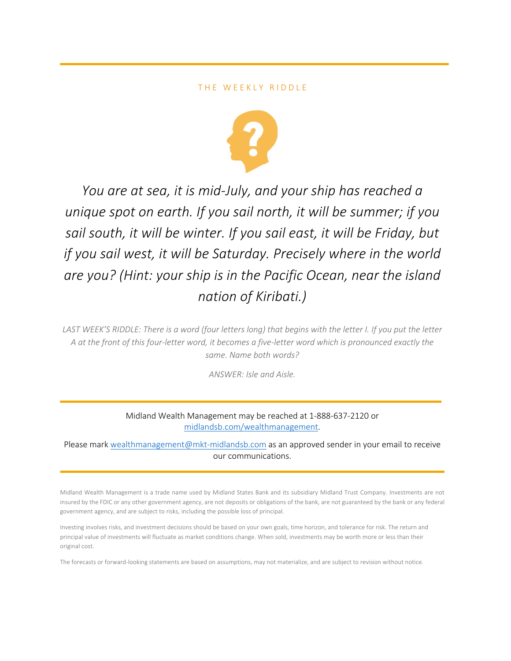#### THE WEEKLY RIDDLE



*You are at sea, it is mid-July, and your ship has reached a unique spot on earth. If you sail north, it will be summer; if you sail south, it will be winter. If you sail east, it will be Friday, but if you sail west, it will be Saturday. Precisely where in the world are you? (Hint: your ship is in the Pacific Ocean, near the island nation of Kiribati.)* 

*LAST WEEK'S RIDDLE: There is a word (four letters long) that begins with the letter I. If you put the letter A at the front of this four-letter word, it becomes a five-letter word which is pronounced exactly the same. Name both words?*

*ANSWER: Isle and Aisle.*

Midland Wealth Management may be reached at 1-888-637-2120 or midlandsb.com/wealthmanagement.

Please mark wealthmanagement@mkt-midlandsb.com as an approved sender in your email to receive our communications.

Midland Wealth Management is a trade name used by Midland States Bank and its subsidiary Midland Trust Company. Investments are not insured by the FDIC or any other government agency, are not deposits or obligations of the bank, are not guaranteed by the bank or any federal government agency, and are subject to risks, including the possible loss of principal.

Investing involves risks, and investment decisions should be based on your own goals, time horizon, and tolerance for risk. The return and principal value of investments will fluctuate as market conditions change. When sold, investments may be worth more or less than their original cost.

The forecasts or forward-looking statements are based on assumptions, may not materialize, and are subject to revision without notice.